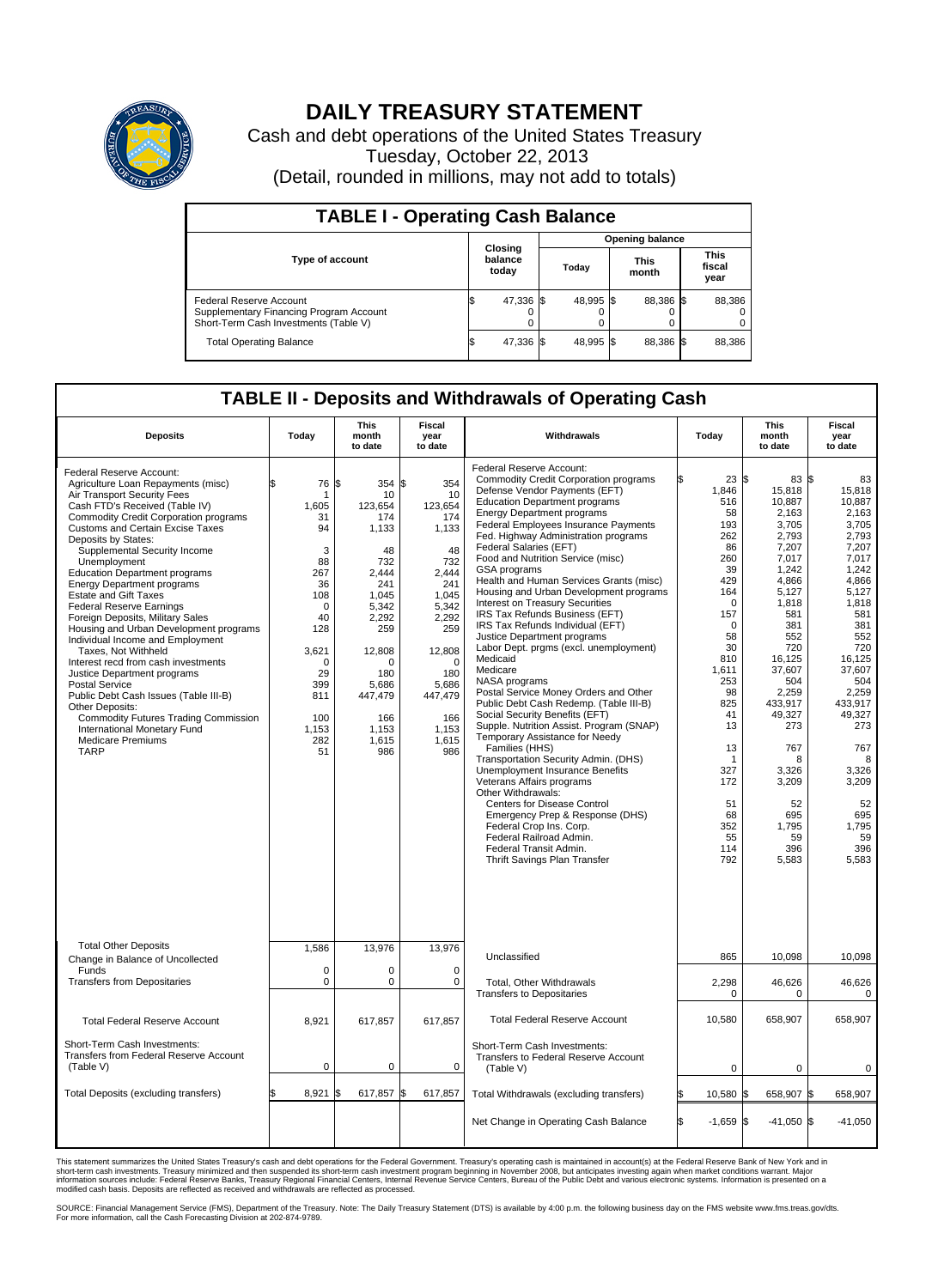

## **DAILY TREASURY STATEMENT**

Cash and debt operations of the United States Treasury Tuesday, October 22, 2013 (Detail, rounded in millions, may not add to totals)

| <b>TABLE I - Operating Cash Balance</b>                                                                            |  |                             |       |           |                      |           |  |                               |  |  |
|--------------------------------------------------------------------------------------------------------------------|--|-----------------------------|-------|-----------|----------------------|-----------|--|-------------------------------|--|--|
| <b>Opening balance</b>                                                                                             |  |                             |       |           |                      |           |  |                               |  |  |
| <b>Type of account</b>                                                                                             |  | Closing<br>balance<br>today | Today |           | <b>This</b><br>month |           |  | <b>This</b><br>fiscal<br>year |  |  |
| <b>Federal Reserve Account</b><br>Supplementary Financing Program Account<br>Short-Term Cash Investments (Table V) |  | 47,336 \$                   |       | 48,995 \$ |                      | 88,386 \$ |  | 88,386                        |  |  |
| <b>Total Operating Balance</b>                                                                                     |  | 47,336 \$                   |       | 48.995 \$ |                      | 88,386 \$ |  | 88,386                        |  |  |

## **TABLE II - Deposits and Withdrawals of Operating Cash**

| <b>Deposits</b>                                                                                                                                                                                                                                                                                                                                                                                                                                                                                                                                                                                                                                                                                                                                                                                                                                                                | Today                                                                                                                                                                | This<br>month<br>to date                                                                                                                                                                | Fiscal<br>year<br>to date                                                                                                                                                            | Withdrawals                                                                                                                                                                                                                                                                                                                                                                                                                                                                                                                                                                                                                                                                                                                                                                                                                                                                                                                                                                                                                                                                                                                                                                                                              | Today                                                                                                                                                                                                                                                   | <b>This</b><br>month<br>to date                                                                                                                                                                                                                                                  | Fiscal<br>year<br>to date                                                                                                                                                                                                                                                     |
|--------------------------------------------------------------------------------------------------------------------------------------------------------------------------------------------------------------------------------------------------------------------------------------------------------------------------------------------------------------------------------------------------------------------------------------------------------------------------------------------------------------------------------------------------------------------------------------------------------------------------------------------------------------------------------------------------------------------------------------------------------------------------------------------------------------------------------------------------------------------------------|----------------------------------------------------------------------------------------------------------------------------------------------------------------------|-----------------------------------------------------------------------------------------------------------------------------------------------------------------------------------------|--------------------------------------------------------------------------------------------------------------------------------------------------------------------------------------|--------------------------------------------------------------------------------------------------------------------------------------------------------------------------------------------------------------------------------------------------------------------------------------------------------------------------------------------------------------------------------------------------------------------------------------------------------------------------------------------------------------------------------------------------------------------------------------------------------------------------------------------------------------------------------------------------------------------------------------------------------------------------------------------------------------------------------------------------------------------------------------------------------------------------------------------------------------------------------------------------------------------------------------------------------------------------------------------------------------------------------------------------------------------------------------------------------------------------|---------------------------------------------------------------------------------------------------------------------------------------------------------------------------------------------------------------------------------------------------------|----------------------------------------------------------------------------------------------------------------------------------------------------------------------------------------------------------------------------------------------------------------------------------|-------------------------------------------------------------------------------------------------------------------------------------------------------------------------------------------------------------------------------------------------------------------------------|
| Federal Reserve Account:<br>Agriculture Loan Repayments (misc)<br>Air Transport Security Fees<br>Cash FTD's Received (Table IV)<br><b>Commodity Credit Corporation programs</b><br><b>Customs and Certain Excise Taxes</b><br>Deposits by States:<br>Supplemental Security Income<br>Unemployment<br><b>Education Department programs</b><br><b>Energy Department programs</b><br><b>Estate and Gift Taxes</b><br><b>Federal Reserve Earnings</b><br>Foreign Deposits, Military Sales<br>Housing and Urban Development programs<br>Individual Income and Employment<br>Taxes. Not Withheld<br>Interest recd from cash investments<br>Justice Department programs<br><b>Postal Service</b><br>Public Debt Cash Issues (Table III-B)<br>Other Deposits:<br><b>Commodity Futures Trading Commission</b><br>International Monetary Fund<br><b>Medicare Premiums</b><br><b>TARP</b> | 76<br>\$<br>-1<br>1,605<br>31<br>94<br>3<br>88<br>267<br>36<br>108<br>$\mathbf 0$<br>40<br>128<br>3,621<br>$\Omega$<br>29<br>399<br>811<br>100<br>1,153<br>282<br>51 | 354 \$<br>l\$<br>10<br>123,654<br>174<br>1,133<br>48<br>732<br>2.444<br>241<br>1,045<br>5,342<br>2.292<br>259<br>12,808<br>O<br>180<br>5,686<br>447,479<br>166<br>1,153<br>1.615<br>986 | 354<br>10<br>123,654<br>174<br>1,133<br>48<br>732<br>2.444<br>241<br>1,045<br>5,342<br>2.292<br>259<br>12,808<br>$\Omega$<br>180<br>5,686<br>447,479<br>166<br>1,153<br>1.615<br>986 | Federal Reserve Account:<br><b>Commodity Credit Corporation programs</b><br>Defense Vendor Payments (EFT)<br><b>Education Department programs</b><br><b>Energy Department programs</b><br><b>Federal Employees Insurance Payments</b><br>Fed. Highway Administration programs<br>Federal Salaries (EFT)<br>Food and Nutrition Service (misc)<br>GSA programs<br>Health and Human Services Grants (misc)<br>Housing and Urban Development programs<br>Interest on Treasury Securities<br>IRS Tax Refunds Business (EFT)<br>IRS Tax Refunds Individual (EFT)<br>Justice Department programs<br>Labor Dept. prgms (excl. unemployment)<br>Medicaid<br>Medicare<br>NASA programs<br>Postal Service Money Orders and Other<br>Public Debt Cash Redemp. (Table III-B)<br>Social Security Benefits (EFT)<br>Supple. Nutrition Assist. Program (SNAP)<br>Temporary Assistance for Needy<br>Families (HHS)<br>Transportation Security Admin. (DHS)<br>Unemployment Insurance Benefits<br>Veterans Affairs programs<br>Other Withdrawals:<br><b>Centers for Disease Control</b><br>Emergency Prep & Response (DHS)<br>Federal Crop Ins. Corp.<br>Federal Railroad Admin.<br>Federal Transit Admin.<br>Thrift Savings Plan Transfer | $23 \text{ }$ \$<br>1,846<br>516<br>58<br>193<br>262<br>86<br>260<br>39<br>429<br>164<br>$\mathbf 0$<br>157<br>$\mathbf 0$<br>58<br>30<br>810<br>1,611<br>253<br>98<br>825<br>41<br>13<br>13<br>-1<br>327<br>172<br>51<br>68<br>352<br>55<br>114<br>792 | 83 \$<br>15,818<br>10.887<br>2,163<br>3,705<br>2,793<br>7,207<br>7,017<br>1,242<br>4,866<br>5,127<br>1,818<br>581<br>381<br>552<br>720<br>16,125<br>37,607<br>504<br>2,259<br>433.917<br>49,327<br>273<br>767<br>8<br>3,326<br>3,209<br>52<br>695<br>1,795<br>59<br>396<br>5,583 | 83<br>15,818<br>10.887<br>2,163<br>3,705<br>2,793<br>7.207<br>7,017<br>1.242<br>4,866<br>5,127<br>1,818<br>581<br>381<br>552<br>720<br>16,125<br>37.607<br>504<br>2,259<br>433.917<br>49,327<br>273<br>767<br>8<br>3,326<br>3,209<br>52<br>695<br>1,795<br>59<br>396<br>5,583 |
| <b>Total Other Deposits</b><br>Change in Balance of Uncollected                                                                                                                                                                                                                                                                                                                                                                                                                                                                                                                                                                                                                                                                                                                                                                                                                | 1,586                                                                                                                                                                | 13,976                                                                                                                                                                                  | 13,976                                                                                                                                                                               | Unclassified                                                                                                                                                                                                                                                                                                                                                                                                                                                                                                                                                                                                                                                                                                                                                                                                                                                                                                                                                                                                                                                                                                                                                                                                             | 865                                                                                                                                                                                                                                                     | 10,098                                                                                                                                                                                                                                                                           | 10,098                                                                                                                                                                                                                                                                        |
| Funds<br><b>Transfers from Depositaries</b>                                                                                                                                                                                                                                                                                                                                                                                                                                                                                                                                                                                                                                                                                                                                                                                                                                    | $\mathbf 0$<br>$\mathbf 0$                                                                                                                                           | 0<br>0                                                                                                                                                                                  | $\mathbf 0$<br>0                                                                                                                                                                     | Total, Other Withdrawals<br><b>Transfers to Depositaries</b>                                                                                                                                                                                                                                                                                                                                                                                                                                                                                                                                                                                                                                                                                                                                                                                                                                                                                                                                                                                                                                                                                                                                                             | 2,298<br>$\mathbf 0$                                                                                                                                                                                                                                    | 46,626<br>0                                                                                                                                                                                                                                                                      | 46,626<br>$\mathbf 0$                                                                                                                                                                                                                                                         |
| <b>Total Federal Reserve Account</b>                                                                                                                                                                                                                                                                                                                                                                                                                                                                                                                                                                                                                                                                                                                                                                                                                                           | 8,921                                                                                                                                                                | 617,857                                                                                                                                                                                 | 617,857                                                                                                                                                                              | <b>Total Federal Reserve Account</b>                                                                                                                                                                                                                                                                                                                                                                                                                                                                                                                                                                                                                                                                                                                                                                                                                                                                                                                                                                                                                                                                                                                                                                                     | 10,580                                                                                                                                                                                                                                                  | 658,907                                                                                                                                                                                                                                                                          | 658,907                                                                                                                                                                                                                                                                       |
| Short-Term Cash Investments:<br>Transfers from Federal Reserve Account<br>(Table V)                                                                                                                                                                                                                                                                                                                                                                                                                                                                                                                                                                                                                                                                                                                                                                                            | $\mathbf 0$                                                                                                                                                          | 0                                                                                                                                                                                       | $\mathbf 0$                                                                                                                                                                          | Short-Term Cash Investments:<br>Transfers to Federal Reserve Account<br>(Table V)                                                                                                                                                                                                                                                                                                                                                                                                                                                                                                                                                                                                                                                                                                                                                                                                                                                                                                                                                                                                                                                                                                                                        | $\mathbf 0$                                                                                                                                                                                                                                             | $\mathbf 0$                                                                                                                                                                                                                                                                      | $\mathbf 0$                                                                                                                                                                                                                                                                   |
| Total Deposits (excluding transfers)                                                                                                                                                                                                                                                                                                                                                                                                                                                                                                                                                                                                                                                                                                                                                                                                                                           | 8,921<br>\$                                                                                                                                                          | 617,857<br>ß.                                                                                                                                                                           | \$<br>617,857                                                                                                                                                                        | Total Withdrawals (excluding transfers)                                                                                                                                                                                                                                                                                                                                                                                                                                                                                                                                                                                                                                                                                                                                                                                                                                                                                                                                                                                                                                                                                                                                                                                  | 10,580 \$                                                                                                                                                                                                                                               | 658,907 \$                                                                                                                                                                                                                                                                       | 658,907                                                                                                                                                                                                                                                                       |
|                                                                                                                                                                                                                                                                                                                                                                                                                                                                                                                                                                                                                                                                                                                                                                                                                                                                                |                                                                                                                                                                      |                                                                                                                                                                                         |                                                                                                                                                                                      | Net Change in Operating Cash Balance                                                                                                                                                                                                                                                                                                                                                                                                                                                                                                                                                                                                                                                                                                                                                                                                                                                                                                                                                                                                                                                                                                                                                                                     | ß.<br>$-1,659$ \$                                                                                                                                                                                                                                       | $-41,050$ \$                                                                                                                                                                                                                                                                     | $-41,050$                                                                                                                                                                                                                                                                     |

This statement summarizes the United States Treasury's cash and debt operations for the Federal Government. Treasury's operating cash is maintained in account(s) at the Federal Reserve Bank of New York and in<br>short-term ca

SOURCE: Financial Management Service (FMS), Department of the Treasury. Note: The Daily Treasury Statement (DTS) is available by 4:00 p.m. the following business day on the FMS website www.fms.treas.gov/dts.<br>For more infor